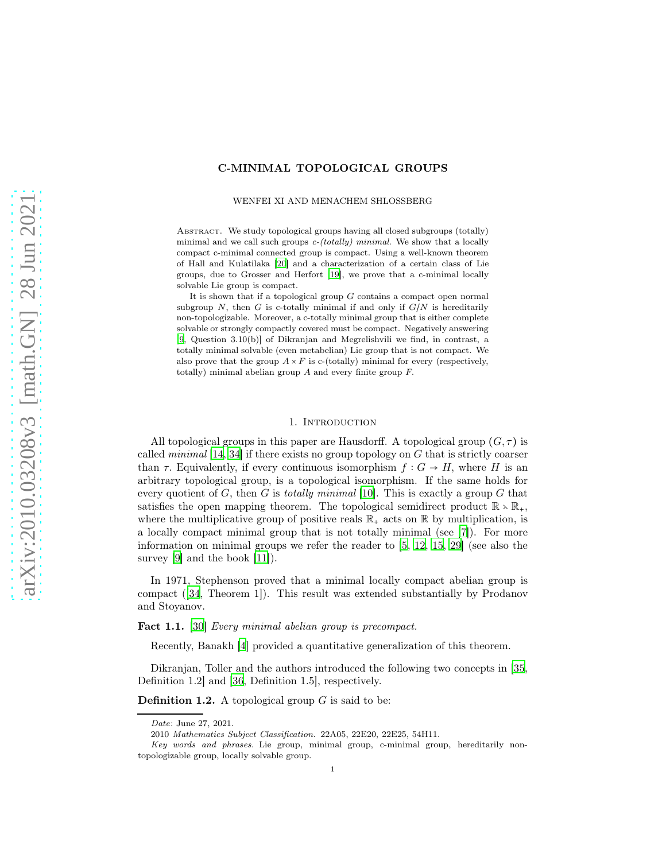## C-MINIMAL TOPOLOGICAL GROUPS

WENFEI XI AND MENACHEM SHLOSSBERG

ABSTRACT. We study topological groups having all closed subgroups (totally) minimal and we call such groups  $c$ -(totally) minimal. We show that a locally compact c-minimal connected group is compact. Using a well-known theorem of Hall and Kulatilaka [\[20](#page-11-0)] and a characterization of a certain class of Lie groups, due to Grosser and Herfort [\[19\]](#page-11-1), we prove that a c-minimal locally solvable Lie group is compact.

It is shown that if a topological group  $G$  contains a compact open normal subgroup N, then G is c-totally minimal if and only if  $G/N$  is hereditarily non-topologizable. Moreover, a c-totally minimal group that is either complete solvable or strongly compactly covered must be compact. Negatively answering [\[9](#page-11-2), Question 3.10(b)] of Dikranjan and Megrelishvili we find, in contrast, a totally minimal solvable (even metabelian) Lie group that is not compact. We also prove that the group  $A \times F$  is c-(totally) minimal for every (respectively, totally) minimal abelian group A and every finite group F.

#### 1. INTRODUCTION

All topological groups in this paper are Hausdorff. A topological group  $(G, \tau)$  is called *minimal* [\[14](#page-11-3), [34\]](#page-12-0) if there exists no group topology on  $G$  that is strictly coarser than  $\tau$ . Equivalently, if every continuous isomorphism  $f: G \to H$ , where H is an arbitrary topological group, is a topological isomorphism. If the same holds for every quotient of G, then G is totally minimal [\[10\]](#page-11-4). This is exactly a group G that satisfies the open mapping theorem. The topological semidirect product  $\mathbb{R} \times \mathbb{R}_+$ , where the multiplicative group of positive reals  $\mathbb{R}_+$  acts on  $\mathbb{R}$  by multiplication, is a locally compact minimal group that is not totally minimal (see [\[7\]](#page-11-5)). For more information on minimal groups we refer the reader to [\[5,](#page-10-0) [12](#page-11-6), [15,](#page-11-7) [29](#page-12-1)] (see also the survey [\[9\]](#page-11-2) and the book [\[11\]](#page-11-8)).

In 1971, Stephenson proved that a minimal locally compact abelian group is compact ([\[34,](#page-12-0) Theorem 1]). This result was extended substantially by Prodanov and Stoyanov.

<span id="page-0-0"></span>Fact 1.1. [\[30](#page-12-2)] Every minimal abelian group is precompact.

Recently, Banakh [\[4](#page-10-1)] provided a quantitative generalization of this theorem.

Dikranjan, Toller and the authors introduced the following two concepts in [\[35,](#page-12-3) Definition 1.2] and [\[36,](#page-12-4) Definition 1.5], respectively.

**Definition 1.2.** A topological group  $G$  is said to be:

Date: June 27, 2021.

<sup>2010</sup> Mathematics Subject Classification. 22A05, 22E20, 22E25, 54H11.

Key words and phrases. Lie group, minimal group, c-minimal group, hereditarily nontopologizable group, locally solvable group.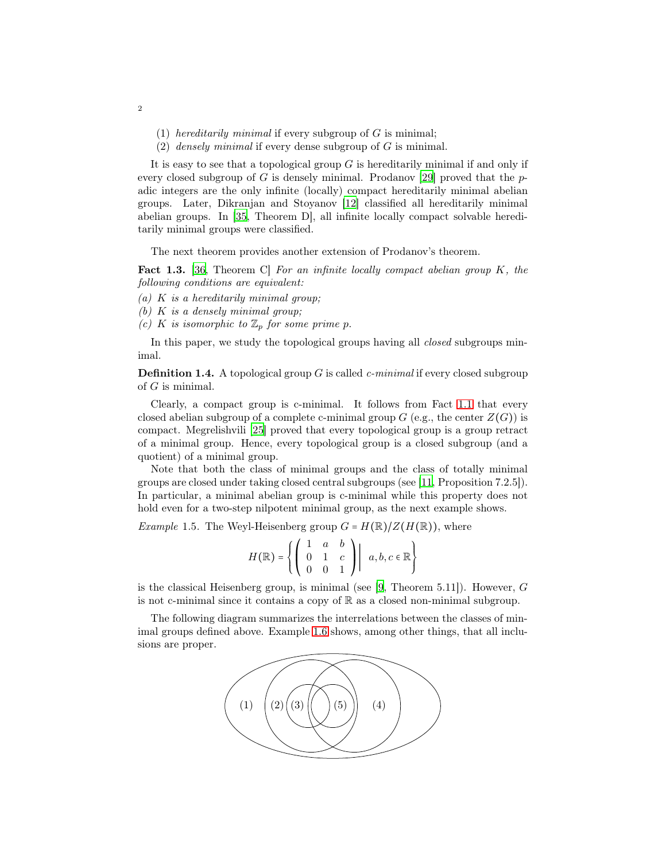- (1) hereditarily minimal if every subgroup of  $G$  is minimal;
- (2) densely minimal if every dense subgroup of  $G$  is minimal.

It is easy to see that a topological group  $G$  is hereditarily minimal if and only if every closed subgroup of G is densely minimal. Prodanov [\[29](#page-12-1)] proved that the  $p$ adic integers are the only infinite (locally) compact hereditarily minimal abelian groups. Later, Dikranjan and Stoyanov [\[12\]](#page-11-6) classified all hereditarily minimal abelian groups. In [\[35](#page-12-3), Theorem D], all infinite locally compact solvable hereditarily minimal groups were classified.

The next theorem provides another extension of Prodanov's theorem.

<span id="page-1-0"></span>**Fact 1.3.** [\[36,](#page-12-4) Theorem C] For an infinite locally compact abelian group  $K$ , the following conditions are equivalent:

- (a) K is a hereditarily minimal group;
- (b)  $K$  is a densely minimal group;
- (c) K is isomorphic to  $\mathbb{Z}_p$  for some prime p.

In this paper, we study the topological groups having all *closed* subgroups minimal.

**Definition 1.4.** A topological group G is called c-minimal if every closed subgroup of  $G$  is minimal.

Clearly, a compact group is c-minimal. It follows from Fact [1.1](#page-0-0) that every closed abelian subgroup of a complete c-minimal group  $G$  (e.g., the center  $Z(G)$ ) is compact. Megrelishvili [\[25\]](#page-11-9) proved that every topological group is a group retract of a minimal group. Hence, every topological group is a closed subgroup (and a quotient) of a minimal group.

Note that both the class of minimal groups and the class of totally minimal groups are closed under taking closed central subgroups (see [\[11,](#page-11-8) Proposition 7.2.5]). In particular, a minimal abelian group is c-minimal while this property does not hold even for a two-step nilpotent minimal group, as the next example shows.

*Example 1.5.* The Weyl-Heisenberg group  $G = H(\mathbb{R})/Z(H(\mathbb{R}))$ , where

$$
H(\mathbb{R}) = \left\{ \left( \begin{array}{ccc} 1 & a & b \\ 0 & 1 & c \\ 0 & 0 & 1 \end{array} \right) \middle| \ \ a,b,c \in \mathbb{R} \right\}
$$

is the classical Heisenberg group, is minimal (see  $[9,$  Theorem 5.11]). However, G is not c-minimal since it contains a copy of  $\mathbb R$  as a closed non-minimal subgroup.

The following diagram summarizes the interrelations between the classes of minimal groups defined above. Example [1.6](#page-2-0) shows, among other things, that all inclusions are proper.

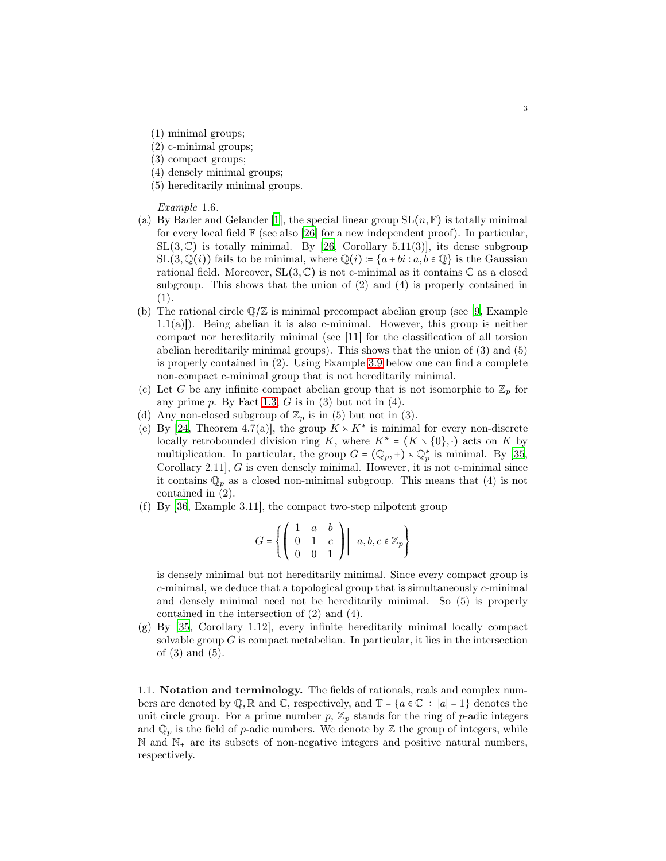- (1) minimal groups;
- (2) c-minimal groups;
- (3) compact groups;
- (4) densely minimal groups;
- (5) hereditarily minimal groups.

<span id="page-2-0"></span>Example 1.6.

- (a) By Bader and Gelander [\[1](#page-10-2)], the special linear group  $SL(n, \mathbb{F})$  is totally minimal for every local field  $\mathbb F$  (see also [\[26\]](#page-11-10) for a new independent proof). In particular,  $SL(3,\mathbb{C})$  is totally minimal. By [\[26](#page-11-10), Corollary 5.11(3)], its dense subgroup  $SL(3,\mathbb{Q}(i))$  fails to be minimal, where  $\mathbb{Q}(i) = \{a + bi : a, b \in \mathbb{Q}\}\$ is the Gaussian rational field. Moreover,  $SL(3,\mathbb{C})$  is not c-minimal as it contains  $\mathbb C$  as a closed subgroup. This shows that the union of (2) and (4) is properly contained in (1).
- (b) The rational circle  $\mathbb{Q}/\mathbb{Z}$  is minimal precompact abelian group (see [\[9](#page-11-2), Example 1.1(a)]). Being abelian it is also c-minimal. However, this group is neither compact nor hereditarily minimal (see [11] for the classification of all torsion abelian hereditarily minimal groups). This shows that the union of (3) and (5) is properly contained in (2). Using Example [3.9](#page-7-0) below one can find a complete non-compact c-minimal group that is not hereditarily minimal.
- (c) Let G be any infinite compact abelian group that is not isomorphic to  $\mathbb{Z}_p$  for any prime  $p$ . By Fact [1.3,](#page-1-0)  $G$  is in (3) but not in (4).
- (d) Any non-closed subgroup of  $\mathbb{Z}_p$  is in (5) but not in (3).
- (e) By [\[24](#page-11-11), Theorem 4.7(a)], the group  $K \times K^*$  is minimal for every non-discrete locally retrobounded division ring K, where  $K^* = (K \setminus \{0\}, \cdot)$  acts on K by multiplication. In particular, the group  $G = (\mathbb{Q}_p, +) \setminus \mathbb{Q}_p^*$  is minimal. By [\[35,](#page-12-3) Corollary 2.11], G is even densely minimal. However, it is not c-minimal since it contains  $\mathbb{Q}_p$  as a closed non-minimal subgroup. This means that (4) is not contained in (2).
- (f) By [\[36,](#page-12-4) Example 3.11], the compact two-step nilpotent group

$$
G=\left\{\left(\begin{array}{ccc}1 & a & b \\0 & 1 & c \\0 & 0 & 1\end{array}\right)\middle| \ \ a,b,c\in\mathbb{Z}_p\right\}
$$

is densely minimal but not hereditarily minimal. Since every compact group is  $c$ -minimal, we deduce that a topological group that is simultaneously  $c$ -minimal and densely minimal need not be hereditarily minimal. So (5) is properly contained in the intersection of (2) and (4).

(g) By [\[35](#page-12-3), Corollary 1.12], every infinite hereditarily minimal locally compact solvable group  $G$  is compact metabelian. In particular, it lies in the intersection of (3) and (5).

1.1. Notation and terminology. The fields of rationals, reals and complex numbers are denoted by  $\mathbb{Q}, \mathbb{R}$  and  $\mathbb{C}$ , respectively, and  $\mathbb{T} = \{a \in \mathbb{C} : |a| = 1\}$  denotes the unit circle group. For a prime number  $p, \mathbb{Z}_p$  stands for the ring of p-adic integers and  $\mathbb{Q}_p$  is the field of p-adic numbers. We denote by  $\mathbb Z$  the group of integers, while  $\mathbb N$  and  $\mathbb N_+$  are its subsets of non-negative integers and positive natural numbers, respectively.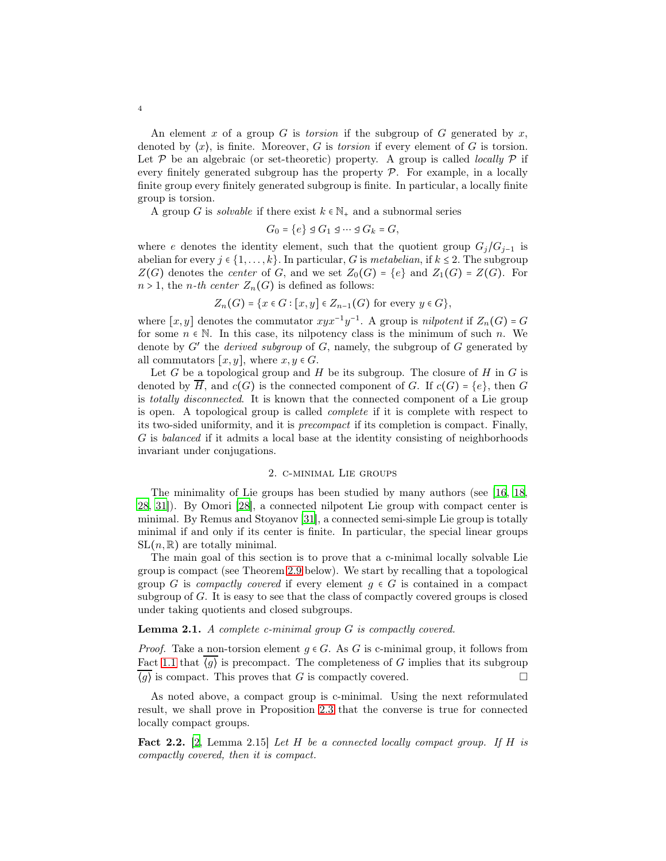An element x of a group G is torsion if the subgroup of G generated by  $x$ , denoted by  $\langle x \rangle$ , is finite. Moreover, G is torsion if every element of G is torsion. Let  $P$  be an algebraic (or set-theoretic) property. A group is called *locally*  $P$  if every finitely generated subgroup has the property  $P$ . For example, in a locally finite group every finitely generated subgroup is finite. In particular, a locally finite group is torsion.

A group G is *solvable* if there exist  $k \in \mathbb{N}_+$  and a subnormal series

$$
G_0 = \{e\} \trianglelefteq G_1 \trianglelefteq \cdots \trianglelefteq G_k = G,
$$

where e denotes the identity element, such that the quotient group  $G_j/G_{j-1}$  is abelian for every  $j \in \{1, \ldots, k\}$ . In particular, G is metabelian, if  $k \leq 2$ . The subgroup  $Z(G)$  denotes the *center* of G, and we set  $Z_0(G) = \{e\}$  and  $Z_1(G) = Z(G)$ . For  $n > 1$ , the *n*-th center  $Z_n(G)$  is defined as follows:

$$
Z_n(G) = \{x \in G : [x, y] \in Z_{n-1}(G) \text{ for every } y \in G\},\
$$

where  $[x, y]$  denotes the commutator  $xyx^{-1}y^{-1}$ . A group is *nilpotent* if  $Z_n(G) = G$ for some  $n \in \mathbb{N}$ . In this case, its nilpotency class is the minimum of such n. We denote by  $G'$  the *derived subgroup* of  $G$ , namely, the subgroup of  $G$  generated by all commutators  $[x, y]$ , where  $x, y \in G$ .

Let G be a topological group and H be its subgroup. The closure of H in G is denoted by H, and  $c(G)$  is the connected component of G. If  $c(G) = \{e\}$ , then G is totally disconnected. It is known that the connected component of a Lie group is open. A topological group is called complete if it is complete with respect to its two-sided uniformity, and it is precompact if its completion is compact. Finally, G is balanced if it admits a local base at the identity consisting of neighborhoods invariant under conjugations.

### 2. c-minimal Lie groups

The minimality of Lie groups has been studied by many authors (see [\[16,](#page-11-12) [18,](#page-11-13) [28,](#page-12-5) [31](#page-12-6)]). By Omori [\[28\]](#page-12-5), a connected nilpotent Lie group with compact center is minimal. By Remus and Stoyanov [\[31](#page-12-6)], a connected semi-simple Lie group is totally minimal if and only if its center is finite. In particular, the special linear groups  $SL(n, \mathbb{R})$  are totally minimal.

The main goal of this section is to prove that a c-minimal locally solvable Lie group is compact (see Theorem [2.9](#page-4-0) below). We start by recalling that a topological group G is compactly covered if every element  $g \in G$  is contained in a compact subgroup of G. It is easy to see that the class of compactly covered groups is closed under taking quotients and closed subgroups.

# <span id="page-3-0"></span>Lemma 2.1. A complete c-minimal group G is compactly covered.

*Proof.* Take a non-torsion element  $q \in G$ . As G is c-minimal group, it follows from Fact [1.1](#page-0-0) that  $\overline{\langle g \rangle}$  is precompact. The completeness of G implies that its subgroup  $\langle g \rangle$  is compact. This proves that G is compactly covered.

As noted above, a compact group is c-minimal. Using the next reformulated result, we shall prove in Proposition [2.3](#page-4-1) that the converse is true for connected locally compact groups.

<span id="page-3-1"></span>**Fact 2.2.** [\[2,](#page-10-3) Lemma 2.15] Let H be a connected locally compact group. If H is compactly covered, then it is compact.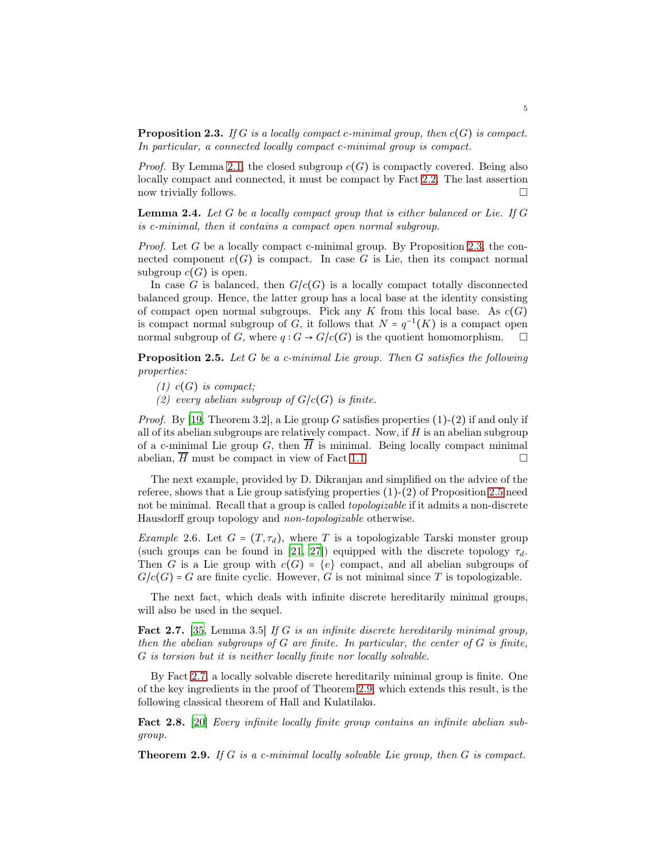<span id="page-4-1"></span>**Proposition 2.3.** If G is a locally compact c-minimal group, then  $c(G)$  is compact. In particular, a connected locally compact c-minimal group is compact.

*Proof.* By Lemma [2.1,](#page-3-0) the closed subgroup  $c(G)$  is compactly covered. Being also locally compact and connected, it must be compact by Fact [2.2.](#page-3-1) The last assertion now trivially follows.  $\Box$ 

<span id="page-4-5"></span>**Lemma 2.4.** Let  $G$  be a locally compact group that is either balanced or Lie. If  $G$ is c-minimal, then it contains a compact open normal subgroup.

Proof. Let G be a locally compact c-minimal group. By Proposition [2.3,](#page-4-1) the connected component  $c(G)$  is compact. In case G is Lie, then its compact normal subgroup  $c(G)$  is open.

In case G is balanced, then  $G/c(G)$  is a locally compact totally disconnected balanced group. Hence, the latter group has a local base at the identity consisting of compact open normal subgroups. Pick any K from this local base. As  $c(G)$ is compact normal subgroup of  $G$ , it follows that  $N = q^{-1}(K)$  is a compact open normal subgroup of G, where  $q: G \to G/c(G)$  is the quotient homomorphism.  $\square$ 

<span id="page-4-2"></span>**Proposition 2.5.** Let  $G$  be a c-minimal Lie group. Then  $G$  satisfies the following properties:

 $(1)$  c(G) is compact;

(2) every abelian subgroup of  $G/c(G)$  is finite.

*Proof.* By [\[19,](#page-11-1) Theorem 3.2], a Lie group G satisfies properties  $(1)-(2)$  if and only if all of its abelian subgroups are relatively compact. Now, if  $H$  is an abelian subgroup of a c-minimal Lie group G, then  $\overline{H}$  is minimal. Being locally compact minimal abelian, *H* must be compact in view of Fact [1.1.](#page-0-0)

The next example, provided by D. Dikranjan and simplified on the advice of the referee, shows that a Lie group satisfying properties (1)-(2) of Proposition [2.5](#page-4-2) need not be minimal. Recall that a group is called *topologizable* if it admits a non-discrete Hausdorff group topology and non-topologizable otherwise.

Example 2.6. Let  $G = (T, \tau_d)$ , where T is a topologizable Tarski monster group (such groups can be found in [\[21,](#page-11-14) [27](#page-12-7)]) equipped with the discrete topology  $\tau_d$ . Then G is a Lie group with  $c(G) = \{e\}$  compact, and all abelian subgroups of  $G/c(G) = G$  are finite cyclic. However, G is not minimal since T is topologizable.

The next fact, which deals with infinite discrete hereditarily minimal groups, will also be used in the sequel.

<span id="page-4-3"></span>Fact 2.7. [\[35,](#page-12-3) Lemma 3.5] If G is an infinite discrete hereditarily minimal group, then the abelian subgroups of  $G$  are finite. In particular, the center of  $G$  is finite, G is torsion but it is neither locally finite nor locally solvable.

By Fact [2.7,](#page-4-3) a locally solvable discrete hereditarily minimal group is finite. One of the key ingredients in the proof of Theorem [2.9,](#page-4-0) which extends this result, is the following classical theorem of Hall and Kulatilaka.

<span id="page-4-4"></span>Fact 2.8. [\[20\]](#page-11-0) Every infinite locally finite group contains an infinite abelian subgroup.

<span id="page-4-0"></span>**Theorem 2.9.** If G is a c-minimal locally solvable Lie group, then G is compact.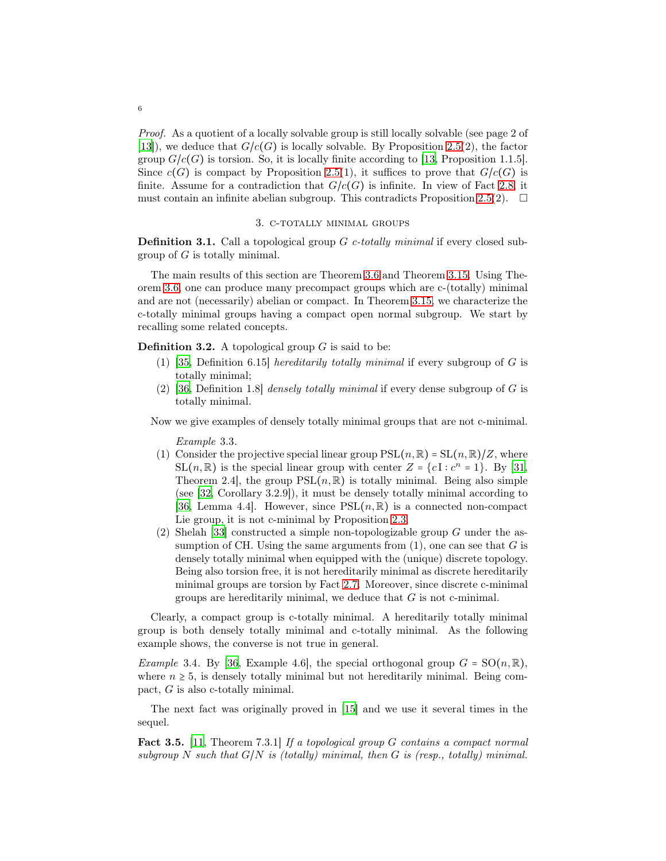Proof. As a quotient of a locally solvable group is still locally solvable (see page 2 of [\[13\]](#page-11-15)), we deduce that  $G/c(G)$  is locally solvable. By Proposition [2.5\(](#page-4-2)2), the factor group  $G/c(G)$  is torsion. So, it is locally finite according to [\[13,](#page-11-15) Proposition 1.1.5]. Since  $c(G)$  is compact by Proposition [2.5\(](#page-4-2)1), it suffices to prove that  $G/c(G)$  is finite. Assume for a contradiction that  $G/c(G)$  is infinite. In view of Fact [2.8,](#page-4-4) it must contain an infinite abelian subgroup. This contradicts Proposition [2.5\(](#page-4-2)2).  $\Box$ 

### 3. c-totally minimal groups

**Definition 3.1.** Call a topological group  $G$  c-totally minimal if every closed subgroup of  $G$  is totally minimal.

The main results of this section are Theorem [3.6](#page-6-0) and Theorem [3.15.](#page-8-0) Using Theorem [3.6,](#page-6-0) one can produce many precompact groups which are c-(totally) minimal and are not (necessarily) abelian or compact. In Theorem [3.15,](#page-8-0) we characterize the c-totally minimal groups having a compact open normal subgroup. We start by recalling some related concepts.

**Definition 3.2.** A topological group  $G$  is said to be:

- (1) [\[35](#page-12-3), Definition 6.15] *hereditarily totally minimal* if every subgroup of  $G$  is totally minimal;
- (2) [\[36](#page-12-4), Definition 1.8] densely totally minimal if every dense subgroup of  $G$  is totally minimal.

Now we give examples of densely totally minimal groups that are not c-minimal.

Example 3.3.

- (1) Consider the projective special linear group  $PSL(n, \mathbb{R}) = SL(n, \mathbb{R})/Z$ , where SL(n, R) is the special linear group with center  $Z = \{cI : c^n = 1\}$ . By [\[31,](#page-12-6) Theorem 2.4, the group  $PSL(n, \mathbb{R})$  is totally minimal. Being also simple (see [\[32](#page-12-8), Corollary 3.2.9]), it must be densely totally minimal according to [\[36](#page-12-4), Lemma 4.4]. However, since  $PSL(n, \mathbb{R})$  is a connected non-compact Lie group, it is not c-minimal by Proposition [2.3.](#page-4-1)
- (2) Shelah [\[33\]](#page-12-9) constructed a simple non-topologizable group  $G$  under the assumption of CH. Using the same arguments from  $(1)$ , one can see that G is densely totally minimal when equipped with the (unique) discrete topology. Being also torsion free, it is not hereditarily minimal as discrete hereditarily minimal groups are torsion by Fact [2.7.](#page-4-3) Moreover, since discrete c-minimal groups are hereditarily minimal, we deduce that  $G$  is not c-minimal.

Clearly, a compact group is c-totally minimal. A hereditarily totally minimal group is both densely totally minimal and c-totally minimal. As the following example shows, the converse is not true in general.

Example 3.4. By [\[36](#page-12-4), Example 4.6], the special orthogonal group  $G = SO(n, \mathbb{R}),$ where  $n \geq 5$ , is densely totally minimal but not hereditarily minimal. Being compact, G is also c-totally minimal.

The next fact was originally proved in [\[15\]](#page-11-7) and we use it several times in the sequel.

<span id="page-5-0"></span>Fact 3.5. [\[11](#page-11-8), Theorem 7.3.1] If a topological group G contains a compact normal subgroup N such that  $G/N$  is (totally) minimal, then G is (resp., totally) minimal.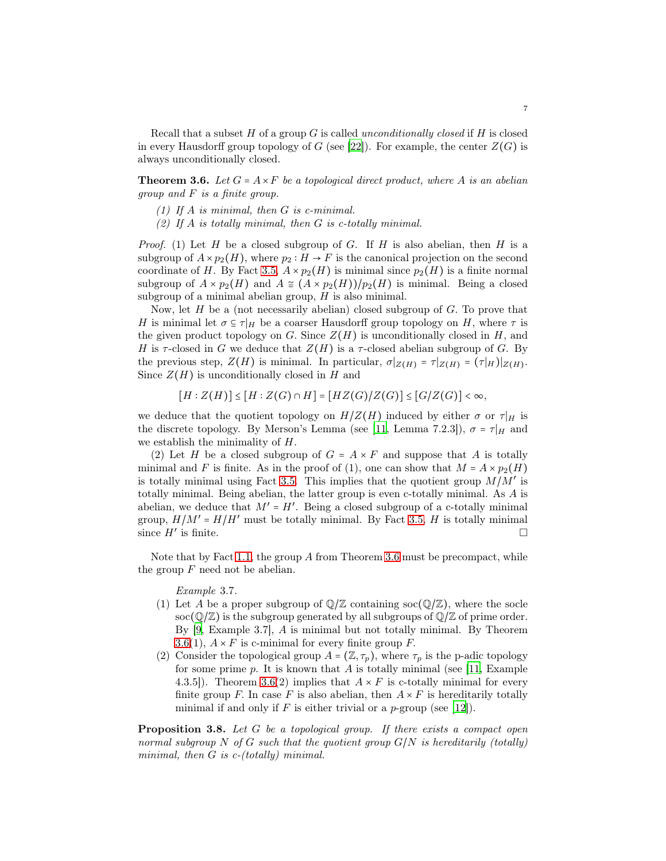Recall that a subset H of a group G is called unconditionally closed if H is closed in every Hausdorff group topology of G (see [\[22](#page-11-16)]). For example, the center  $Z(G)$  is always unconditionally closed.

<span id="page-6-0"></span>**Theorem 3.6.** Let  $G = A \times F$  be a topological direct product, where A is an abelian group and F is a finite group.

- (1) If  $A$  is minimal, then  $G$  is c-minimal.
- (2) If A is totally minimal, then G is c-totally minimal.

*Proof.* (1) Let H be a closed subgroup of G. If H is also abelian, then H is a subgroup of  $A \times p_2(H)$ , where  $p_2 : H \to F$  is the canonical projection on the second coordinate of H. By Fact [3.5,](#page-5-0)  $A \times p_2(H)$  is minimal since  $p_2(H)$  is a finite normal subgroup of  $A \times p_2(H)$  and  $A \cong (A \times p_2(H))/p_2(H)$  is minimal. Being a closed subgroup of a minimal abelian group,  $H$  is also minimal.

Now, let  $H$  be a (not necessarily abelian) closed subgroup of  $G$ . To prove that H is minimal let  $\sigma \subseteq \tau|_H$  be a coarser Hausdorff group topology on H, where  $\tau$  is the given product topology on G. Since  $Z(H)$  is unconditionally closed in H, and H is  $\tau$ -closed in G we deduce that  $Z(H)$  is a  $\tau$ -closed abelian subgroup of G. By the previous step,  $Z(H)$  is minimal. In particular,  $\sigma|_{Z(H)} = \tau|_{Z(H)} = (\tau|_H)|_{Z(H)}$ . Since  $Z(H)$  is unconditionally closed in H and

 $[H : Z(H)] \leq [H : Z(G) \cap H] = [HZ(G)/Z(G)] \leq [G/Z(G)] < \infty$ ,

we deduce that the quotient topology on  $H/Z(H)$  induced by either  $\sigma$  or  $\tau|_H$  is the discrete topology. By Merson's Lemma (see [\[11](#page-11-8), Lemma 7.2.3]),  $\sigma = \tau|_H$  and we establish the minimality of H.

(2) Let H be a closed subgroup of  $G = A \times F$  and suppose that A is totally minimal and F is finite. As in the proof of (1), one can show that  $M = A \times p_2(H)$ is totally minimal using Fact [3.5.](#page-5-0) This implies that the quotient group  $M/M'$  is totally minimal. Being abelian, the latter group is even c-totally minimal. As A is abelian, we deduce that  $M' = H'$ . Being a closed subgroup of a c-totally minimal group,  $H/M' = H/H'$  must be totally minimal. By Fact [3.5,](#page-5-0) H is totally minimal since  $H'$  is finite. is finite.  $\Box$ 

Note that by Fact [1.1,](#page-0-0) the group A from Theorem [3.6](#page-6-0) must be precompact, while the group  $F$  need not be abelian.

### Example 3.7.

- (1) Let A be a proper subgroup of  $\mathbb{Q}/\mathbb{Z}$  containing soc( $\mathbb{Q}/\mathbb{Z}$ ), where the socle  $\operatorname{soc}(\mathbb{Q}/\mathbb{Z})$  is the subgroup generated by all subgroups of  $\mathbb{Q}/\mathbb{Z}$  of prime order. By [\[9](#page-11-2), Example 3.7], A is minimal but not totally minimal. By Theorem [3.6\(](#page-6-0)1),  $A \times F$  is c-minimal for every finite group F.
- (2) Consider the topological group  $A = (\mathbb{Z}, \tau_p)$ , where  $\tau_p$  is the p-adic topology for some prime  $p$ . It is known that  $A$  is totally minimal (see [\[11](#page-11-8), Example 4.3.5]). Theorem [3.6\(](#page-6-0)2) implies that  $A \times F$  is c-totally minimal for every finite group F. In case F is also abelian, then  $A \times F$  is hereditarily totally minimal if and only if F is either trivial or a p-group (see  $|12|$ ).

<span id="page-6-1"></span>**Proposition 3.8.** Let G be a topological group. If there exists a compact open normal subgroup N of G such that the quotient group  $G/N$  is hereditarily (totally) minimal, then G is c-(totally) minimal.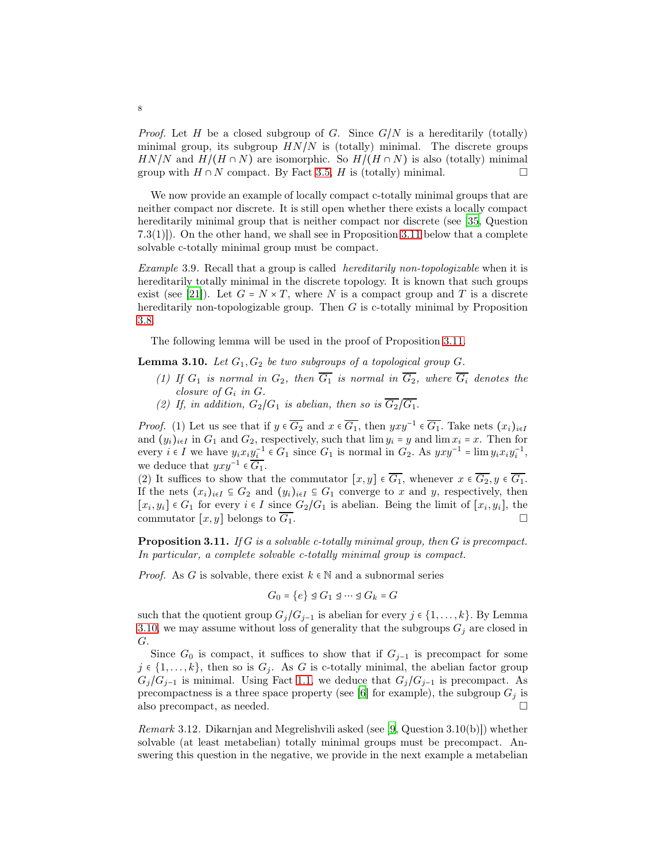*Proof.* Let H be a closed subgroup of G. Since  $G/N$  is a hereditarily (totally) minimal group, its subgroup  $HN/N$  is (totally) minimal. The discrete groups  $HN/N$  and  $H/(H \cap N)$  are isomorphic. So  $H/(H \cap N)$  is also (totally) minimal group with  $H \cap N$  compact. By Fact 3.5. H is (totally) minimal. group with  $H \cap N$  compact. By Fact [3.5,](#page-5-0) H is (totally) minimal.

We now provide an example of locally compact c-totally minimal groups that are neither compact nor discrete. It is still open whether there exists a locally compact hereditarily minimal group that is neither compact nor discrete (see [\[35](#page-12-3), Question 7.3(1)]). On the other hand, we shall see in Proposition [3.11](#page-7-1) below that a complete solvable c-totally minimal group must be compact.

<span id="page-7-0"></span>Example 3.9. Recall that a group is called hereditarily non-topologizable when it is hereditarily totally minimal in the discrete topology. It is known that such groups exist (see [\[21\]](#page-11-14)). Let  $G = N \times T$ , where N is a compact group and T is a discrete hereditarily non-topologizable group. Then  $G$  is c-totally minimal by Proposition [3.8.](#page-6-1)

The following lemma will be used in the proof of Proposition [3.11.](#page-7-1)

<span id="page-7-2"></span>**Lemma 3.10.** Let  $G_1, G_2$  be two subgroups of a topological group  $G$ .

- (1) If  $G_1$  is normal in  $G_2$ , then  $\overline{G_1}$  is normal in  $\overline{G_2}$ , where  $\overline{G_i}$  denotes the closure of  $G_i$  in  $G$ .
- (2) If, in addition,  $G_2/G_1$  is abelian, then so is  $\overline{G_2}/\overline{G_1}$ .

*Proof.* (1) Let us see that if  $y \in \overline{G_2}$  and  $x \in \overline{G_1}$ , then  $yxy^{-1} \in \overline{G_1}$ . Take nets  $(x_i)_{i \in I}$ and  $(y_i)_{i\in I}$  in  $G_1$  and  $G_2$ , respectively, such that  $\lim y_i = y$  and  $\lim x_i = x$ . Then for every  $i \in I$  we have  $y_i x_i y_i^{-1} \in G_1$  since  $G_1$  is normal in  $G_2$ . As  $yxy^{-1} = \lim y_i x_i y_i^{-1}$ , we deduce that  $yxy^{-1} \in \overline{G_1}$ .

(2) It suffices to show that the commutator  $[x, y] \in \overline{G_1}$ , whenever  $x \in \overline{G_2}$ ,  $y \in \overline{G_1}$ . If the nets  $(x_i)_{i\in I} \subseteq G_2$  and  $(y_i)_{i\in I} \subseteq G_1$  converge to x and y, respectively, then  $[x_i, y_i] \in G_1$  for every  $i \in I$  since  $G_2/G_1$  is abelian. Being the limit of  $[x_i, y_i]$ , the commutator  $[x, y]$  belongs to  $\overline{G_1}$ .

<span id="page-7-1"></span>**Proposition 3.11.** If G is a solvable c-totally minimal group, then G is precompact. In particular, a complete solvable c-totally minimal group is compact.

*Proof.* As G is solvable, there exist  $k \in \mathbb{N}$  and a subnormal series

$$
G_0 = \{e\} \trianglelefteq G_1 \trianglelefteq \cdots \trianglelefteq G_k = G
$$

such that the quotient group  $G_j/G_{j-1}$  is abelian for every  $j \in \{1, ..., k\}$ . By Lemma [3.10,](#page-7-2) we may assume without loss of generality that the subgroups  $G_j$  are closed in G.

Since  $G_0$  is compact, it suffices to show that if  $G_{j-1}$  is precompact for some  $j \in \{1, \ldots, k\}$ , then so is  $G_j$ . As G is c-totally minimal, the abelian factor group  $G_j/G_{j-1}$  is minimal. Using Fact [1.1,](#page-0-0) we deduce that  $G_j/G_{j-1}$  is precompact. As precompactness is a three space property (see [\[6](#page-11-17)] for example), the subgroup  $G_j$  is also precompact, as needed.  $\square$ 

*Remark* 3.12. Dikarnjan and Megrelishvili asked (see [\[9,](#page-11-2) Question  $3.10(b)$ ]) whether solvable (at least metabelian) totally minimal groups must be precompact. Answering this question in the negative, we provide in the next example a metabelian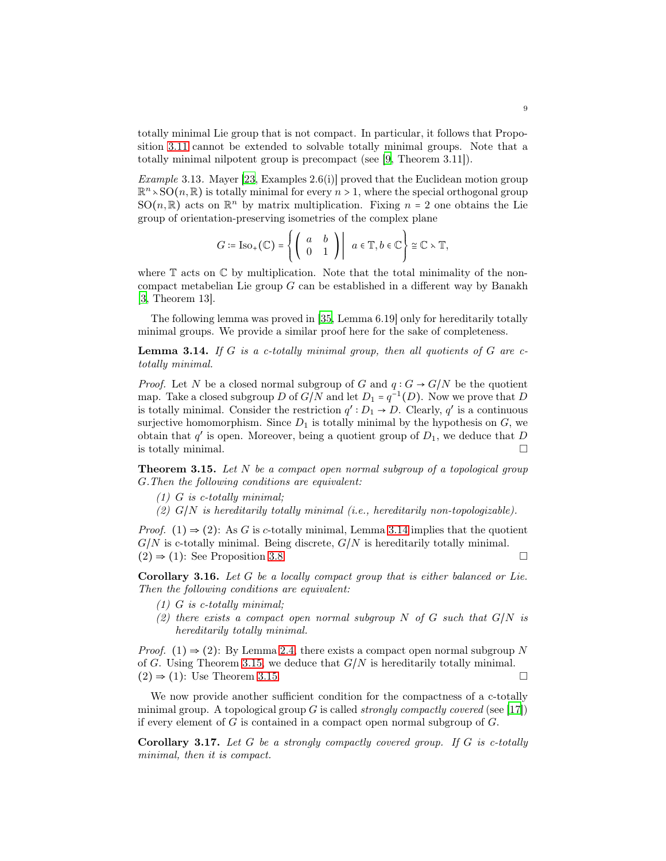totally minimal Lie group that is not compact. In particular, it follows that Proposition [3.11](#page-7-1) cannot be extended to solvable totally minimal groups. Note that a totally minimal nilpotent group is precompact (see [\[9,](#page-11-2) Theorem 3.11]).

Example 3.13. Mayer [\[23,](#page-11-18) Examples 2.6(i)] proved that the Euclidean motion group  $\mathbb{R}^n \times \text{SO}(n, \mathbb{R})$  is totally minimal for every  $n > 1$ , where the special orthogonal group  $SO(n,\mathbb{R})$  acts on  $\mathbb{R}^n$  by matrix multiplication. Fixing  $n = 2$  one obtains the Lie group of orientation-preserving isometries of the complex plane

$$
G \coloneqq \mathrm{Iso}_+(\mathbb{C}) = \left\{ \left( \begin{array}{cc} a & b \\ 0 & 1 \end{array} \right) \middle| \ a \in \mathbb{T}, b \in \mathbb{C} \right\} \cong \mathbb{C} \times \mathbb{T},
$$

where  $\mathbb T$  acts on  $\mathbb C$  by multiplication. Note that the total minimality of the noncompact metabelian Lie group  $G$  can be established in a different way by Banakh [\[3,](#page-10-4) Theorem 13].

The following lemma was proved in [\[35,](#page-12-3) Lemma 6.19] only for hereditarily totally minimal groups. We provide a similar proof here for the sake of completeness.

<span id="page-8-1"></span>**Lemma 3.14.** If G is a c-totally minimal group, then all quotients of G are ctotally minimal.

*Proof.* Let N be a closed normal subgroup of G and  $q: G \to G/N$  be the quotient map. Take a closed subgroup D of  $G/N$  and let  $D_1 = q^{-1}(D)$ . Now we prove that D is totally minimal. Consider the restriction  $q': D_1 \rightarrow D$ . Clearly,  $q'$  is a continuous surjective homomorphism. Since  $D_1$  is totally minimal by the hypothesis on  $G$ , we obtain that  $q'$  is open. Moreover, being a quotient group of  $D_1$ , we deduce that  $D$ is totally minimal.  $\Box$ 

<span id="page-8-0"></span>**Theorem 3.15.** Let  $N$  be a compact open normal subgroup of a topological group G.Then the following conditions are equivalent:

- $(1)$  G is c-totally minimal;
- $(2)$  G/N is hereditarily totally minimal (i.e., hereditarily non-topologizable).

*Proof.* (1)  $\Rightarrow$  (2): As G is c-totally minimal, Lemma [3.14](#page-8-1) implies that the quotient  $G/N$  is c-totally minimal. Being discrete,  $G/N$  is hereditarily totally minimal.  $(2) \Rightarrow (1)$ : See Proposition [3.8.](#page-6-1)

Corollary 3.16. Let G be a locally compact group that is either balanced or Lie. Then the following conditions are equivalent:

- $(1)$  G is c-totally minimal;
- (2) there exists a compact open normal subgroup N of G such that  $G/N$  is hereditarily totally minimal.

*Proof.* (1)  $\Rightarrow$  (2): By Lemma [2.4,](#page-4-5) there exists a compact open normal subgroup N of G. Using Theorem [3.15,](#page-8-0) we deduce that  $G/N$  is hereditarily totally minimal.  $(2) \Rightarrow (1)$ : Use Theorem [3.15.](#page-8-0)

We now provide another sufficient condition for the compactness of a c-totally minimal group. A topological group G is called *strongly compactly covered* (see [\[17\]](#page-11-19)) if every element of  $G$  is contained in a compact open normal subgroup of  $G$ .

**Corollary 3.17.** Let  $G$  be a strongly compactly covered group. If  $G$  is c-totally minimal, then it is compact.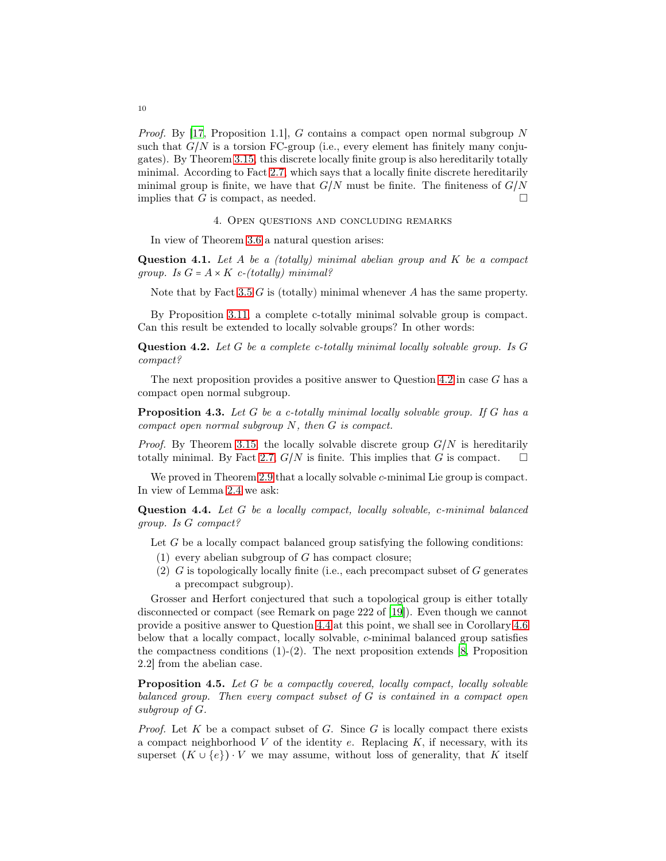*Proof.* By [\[17](#page-11-19), Proposition 1.1], G contains a compact open normal subgroup N such that  $G/N$  is a torsion FC-group (i.e., every element has finitely many conjugates). By Theorem [3.15,](#page-8-0) this discrete locally finite group is also hereditarily totally minimal. According to Fact [2.7,](#page-4-3) which says that a locally finite discrete hereditarily minimal group is finite, we have that  $G/N$  must be finite. The finiteness of  $G/N$ implies that G is compact, as needed.  $\square$ 

4. Open questions and concluding remarks

In view of Theorem [3.6](#page-6-0) a natural question arises:

Question 4.1. Let  $A$  be a (totally) minimal abelian group and  $K$  be a compact group. Is  $G = A \times K$  c-(totally) minimal?

Note that by Fact [3.5](#page-5-0) G is (totally) minimal whenever A has the same property.

By Proposition [3.11,](#page-7-1) a complete c-totally minimal solvable group is compact. Can this result be extended to locally solvable groups? In other words:

<span id="page-9-0"></span>Question 4.2. Let G be a complete c-totally minimal locally solvable group. Is G compact?

The next proposition provides a positive answer to Question [4.2](#page-9-0) in case  $G$  has a compact open normal subgroup.

**Proposition 4.3.** Let  $G$  be a c-totally minimal locally solvable group. If  $G$  has a compact open normal subgroup N, then G is compact.

*Proof.* By Theorem [3.15,](#page-8-0) the locally solvable discrete group  $G/N$  is hereditarily totally minimal. By Fact [2.7,](#page-4-3)  $G/N$  is finite. This implies that G is compact.  $\square$ 

We proved in Theorem [2.9](#page-4-0) that a locally solvable c-minimal Lie group is compact. In view of Lemma [2.4](#page-4-5) we ask:

<span id="page-9-1"></span>Question 4.4. Let G be a locally compact, locally solvable, c-minimal balanced group. Is G compact?

Let  $G$  be a locally compact balanced group satisfying the following conditions:

- $(1)$  every abelian subgroup of G has compact closure;
- (2) G is topologically locally finite (i.e., each precompact subset of G generates a precompact subgroup).

Grosser and Herfort conjectured that such a topological group is either totally disconnected or compact (see Remark on page 222 of [\[19](#page-11-1)]). Even though we cannot provide a positive answer to Question [4.4](#page-9-1) at this point, we shall see in Corollary [4.6](#page-10-5) below that a locally compact, locally solvable, c-minimal balanced group satisfies the compactness conditions  $(1)-(2)$ . The next proposition extends [\[8,](#page-11-20) Proposition 2.2] from the abelian case.

<span id="page-9-2"></span>Proposition 4.5. Let G be a compactly covered, locally compact, locally solvable balanced group. Then every compact subset of G is contained in a compact open subgroup of G.

*Proof.* Let  $K$  be a compact subset of  $G$ . Since  $G$  is locally compact there exists a compact neighborhood  $V$  of the identity  $e$ . Replacing  $K$ , if necessary, with its superset  $(K \cup \{e\}) \cdot V$  we may assume, without loss of generality, that K itself

10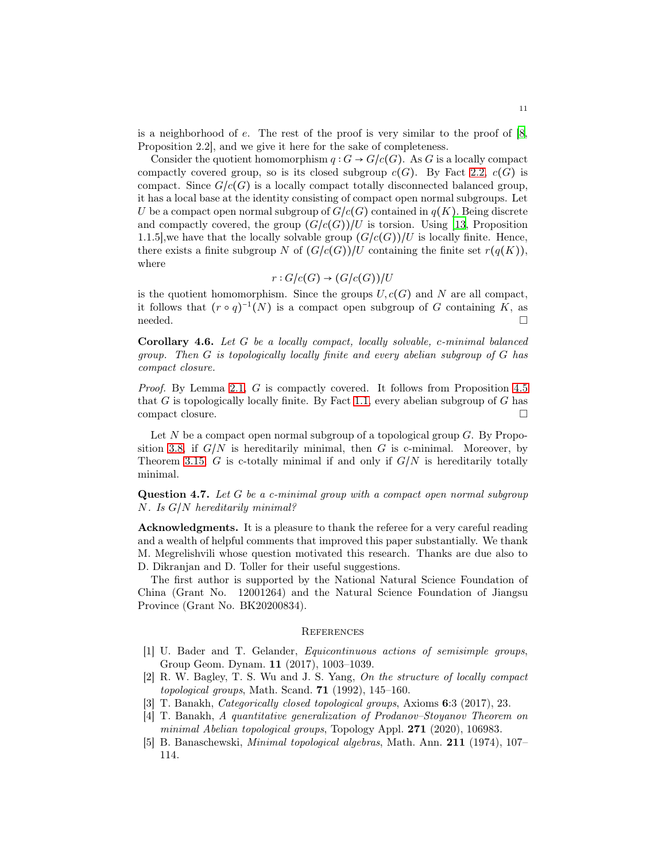is a neighborhood of  $e$ . The rest of the proof is very similar to the proof of  $[8,$ Proposition 2.2], and we give it here for the sake of completeness.

Consider the quotient homomorphism  $q: G \to G/c(G)$ . As G is a locally compact compactly covered group, so is its closed subgroup  $c(G)$ . By Fact [2.2,](#page-3-1)  $c(G)$  is compact. Since  $G/c(G)$  is a locally compact totally disconnected balanced group, it has a local base at the identity consisting of compact open normal subgroups. Let U be a compact open normal subgroup of  $G/c(G)$  contained in  $q(K)$ . Being discrete and compactly covered, the group  $(G/c(G))/U$  is torsion. Using [\[13](#page-11-15), Proposition 1.1.5], we have that the locally solvable group  $(G/c(G))/U$  is locally finite. Hence, there exists a finite subgroup N of  $(G/c(G))/U$  containing the finite set  $r(q(K))$ , where

$$
r: G/c(G) \to (G/c(G))/U
$$

is the quotient homomorphism. Since the groups  $U, c(G)$  and N are all compact, it follows that  $(r \circ q)^{-1}(N)$  is a compact open subgroup of G containing K, as  $\Box$ 

<span id="page-10-5"></span>Corollary 4.6. Let G be a locally compact, locally solvable, c-minimal balanced group. Then  $G$  is topologically locally finite and every abelian subgroup of  $G$  has compact closure.

Proof. By Lemma [2.1,](#page-3-0) G is compactly covered. It follows from Proposition [4.5](#page-9-2) that  $G$  is topologically locally finite. By Fact [1.1,](#page-0-0) every abelian subgroup of  $G$  has compact closure.

Let  $N$  be a compact open normal subgroup of a topological group  $G$ . By Propo-sition [3.8,](#page-6-1) if  $G/N$  is hereditarily minimal, then G is c-minimal. Moreover, by Theorem [3.15,](#page-8-0) G is c-totally minimal if and only if  $G/N$  is hereditarily totally minimal.

**Question 4.7.** Let  $G$  be a c-minimal group with a compact open normal subgroup N. Is G/N hereditarily minimal?

Acknowledgments. It is a pleasure to thank the referee for a very careful reading and a wealth of helpful comments that improved this paper substantially. We thank M. Megrelishvili whose question motivated this research. Thanks are due also to D. Dikranjan and D. Toller for their useful suggestions.

The first author is supported by the National Natural Science Foundation of China (Grant No. 12001264) and the Natural Science Foundation of Jiangsu Province (Grant No. BK20200834).

### **REFERENCES**

- <span id="page-10-2"></span>[1] U. Bader and T. Gelander, Equicontinuous actions of semisimple groups, Group Geom. Dynam. 11 (2017), 1003–1039.
- <span id="page-10-3"></span>[2] R. W. Bagley, T. S. Wu and J. S. Yang, On the structure of locally compact topological groups, Math. Scand.  $71$  (1992), 145–160.
- <span id="page-10-4"></span>[3] T. Banakh, Categorically closed topological groups, Axioms 6:3 (2017), 23.
- <span id="page-10-1"></span>[4] T. Banakh, A quantitative generalization of Prodanov–Stoyanov Theorem on minimal Abelian topological groups, Topology Appl. 271 (2020), 106983.
- <span id="page-10-0"></span>[5] B. Banaschewski, Minimal topological algebras, Math. Ann. 211 (1974), 107– 114.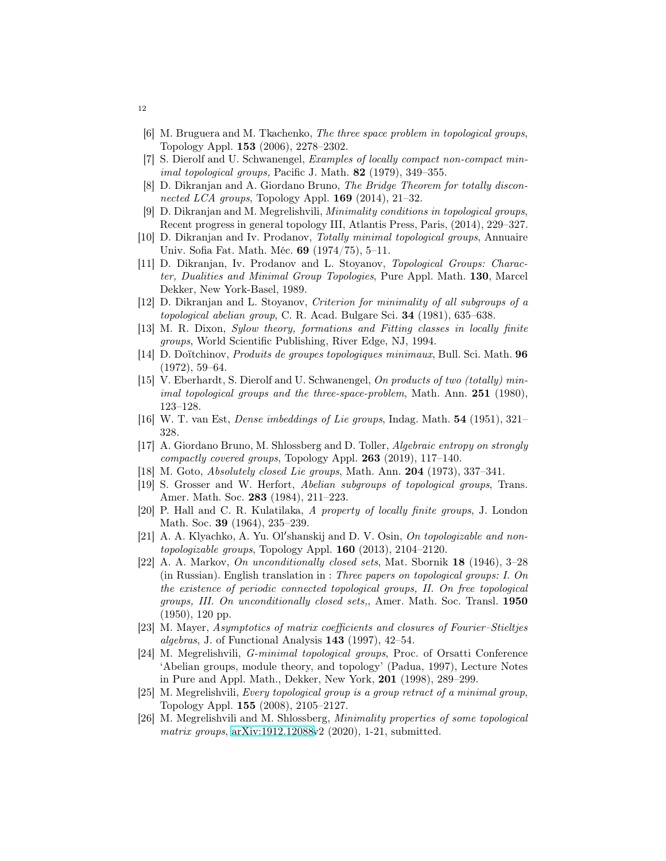- <span id="page-11-17"></span>[6] M. Bruguera and M. Tkachenko, The three space problem in topological groups, Topology Appl. 153 (2006), 2278–2302.
- <span id="page-11-5"></span>[7] S. Dierolf and U. Schwanengel, Examples of locally compact non-compact minimal topological groups, Pacific J. Math. 82 (1979), 349–355.
- <span id="page-11-20"></span>[8] D. Dikranjan and A. Giordano Bruno, The Bridge Theorem for totally disconnected LCA groups, Topology Appl.  $169$  (2014), 21–32.
- <span id="page-11-2"></span>[9] D. Dikranjan and M. Megrelishvili, Minimality conditions in topological groups, Recent progress in general topology III, Atlantis Press, Paris, (2014), 229–327.
- <span id="page-11-4"></span>[10] D. Dikranjan and Iv. Prodanov, Totally minimal topological groups, Annuaire Univ. Sofia Fat. Math. Méc. 69 (1974/75), 5–11.
- <span id="page-11-8"></span>[11] D. Dikranjan, Iv. Prodanov and L. Stoyanov, Topological Groups: Character, Dualities and Minimal Group Topologies, Pure Appl. Math. 130, Marcel Dekker, New York-Basel, 1989.
- <span id="page-11-6"></span>[12] D. Dikranjan and L. Stoyanov, Criterion for minimality of all subgroups of a topological abelian group, C. R. Acad. Bulgare Sci. 34 (1981), 635–638.
- <span id="page-11-15"></span>[13] M. R. Dixon, Sylow theory, formations and Fitting classes in locally finite groups, World Scientific Publishing, River Edge, NJ, 1994.
- <span id="page-11-3"></span>[14] D. Doïtchinov, Produits de groupes topologiques minimaux, Bull. Sci. Math. 96 (1972), 59–64.
- <span id="page-11-7"></span>[15] V. Eberhardt, S. Dierolf and U. Schwanengel, On products of two (totally) minimal topological groups and the three-space-problem, Math. Ann.  $251$  (1980), 123–128.
- <span id="page-11-12"></span>[16] W. T. van Est, Dense imbeddings of Lie groups, Indag. Math. 54 (1951), 321– 328.
- <span id="page-11-19"></span>[17] A. Giordano Bruno, M. Shlossberg and D. Toller, Algebraic entropy on strongly compactly covered groups, Topology Appl. 263 (2019), 117–140.
- <span id="page-11-13"></span>[18] M. Goto, *Absolutely closed Lie groups*, Math. Ann. **204** (1973), 337-341.
- <span id="page-11-1"></span>[19] S. Grosser and W. Herfort, Abelian subgroups of topological groups, Trans. Amer. Math. Soc. 283 (1984), 211–223.
- <span id="page-11-0"></span>[20] P. Hall and C. R. Kulatilaka, A property of locally finite groups, J. London Math. Soc. **39** (1964), 235–239.
- <span id="page-11-14"></span>[21] A. A. Klyachko, A. Yu. Ol'shanskij and D. V. Osin, On topologizable and nontopologizable groups, Topology Appl. 160 (2013), 2104–2120.
- <span id="page-11-16"></span>[22] A. A. Markov, On unconditionally closed sets, Mat. Sbornik 18 (1946), 3–28 (in Russian). English translation in : Three papers on topological groups: I. On the existence of periodic connected topological groups, II. On free topological groups, III. On unconditionally closed sets,, Amer. Math. Soc. Transl. 1950 (1950), 120 pp.
- <span id="page-11-18"></span>[23] M. Mayer, Asymptotics of matrix coefficients and closures of Fourier–Stieltjes algebras, J. of Functional Analysis 143 (1997), 42–54.
- <span id="page-11-11"></span>[24] M. Megrelishvili, G-minimal topological groups, Proc. of Orsatti Conference 'Abelian groups, module theory, and topology' (Padua, 1997), Lecture Notes in Pure and Appl. Math., Dekker, New York, 201 (1998), 289–299.
- <span id="page-11-9"></span>[25] M. Megrelishvili, Every topological group is a group retract of a minimal group, Topology Appl. 155 (2008), 2105–2127.
- <span id="page-11-10"></span>[26] M. Megrelishvili and M. Shlossberg, Minimality properties of some topological matrix groups,  $arXiv:1912.12088v2$  (2020), 1-21, submitted.